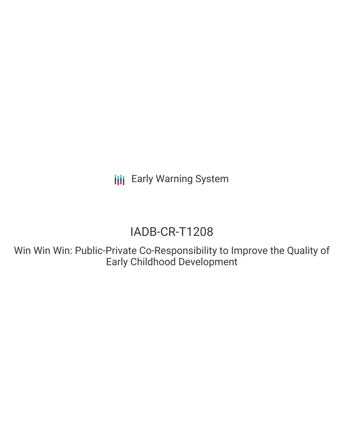**III** Early Warning System

# IADB-CR-T1208

Win Win Win: Public-Private Co-Responsibility to Improve the Quality of Early Childhood Development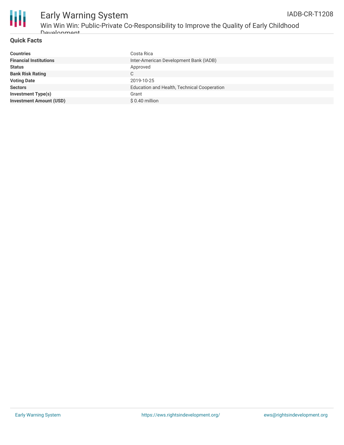



### Early Warning System Win Win Win: Public-Private Co-Responsibility to Improve the Quality of Early Childhood

#### **Quick Facts**

Development

| Costa Rica                                  |
|---------------------------------------------|
| Inter-American Development Bank (IADB)      |
| Approved                                    |
| C                                           |
| 2019-10-25                                  |
| Education and Health, Technical Cooperation |
| Grant                                       |
| $$0.40$ million                             |
|                                             |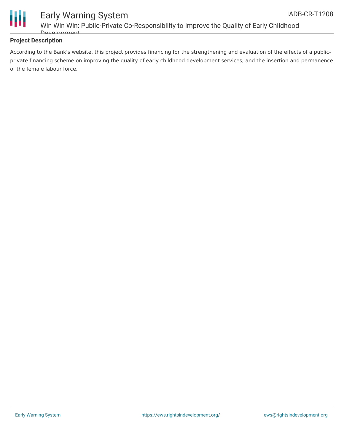



#### Early Warning System Win Win Win: Public-Private Co-Responsibility to Improve the Quality of Early Childhood Development

#### **Project Description**

According to the Bank's website, this project provides financing for the strengthening and evaluation of the effects of a publicprivate financing scheme on improving the quality of early childhood development services; and the insertion and permanence of the female labour force.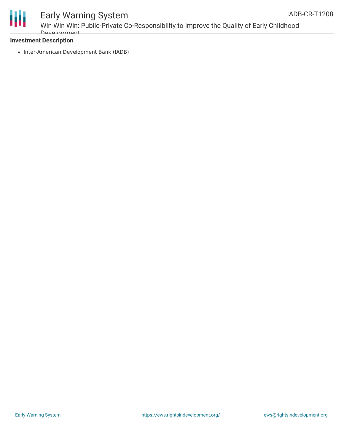

## Early Warning System

Win Win Win: Public-Private Co-Responsibility to Improve the Quality of Early Childhood **Development** 

#### **Investment Description**

• Inter-American Development Bank (IADB)